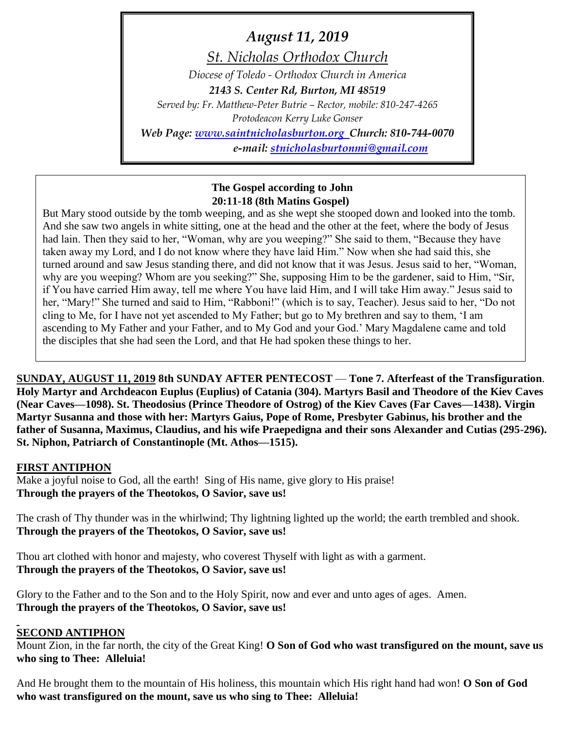*August 11, 2019 St. Nicholas Orthodox Church Diocese of Toledo - Orthodox Church in America 2143 S. Center Rd, Burton, MI 48519 Served by: Fr. Matthew-Peter Butrie – Rector, mobile: 810-247-4265 Protodeacon Kerry Luke Gonser Web Page: [www.saintnicholasburton.org](http://www.saintnicholasburton.org/) Church: 810-744-0070 e-mail: [stnicholasburtonmi@gmail.com](mailto:stnicholasburtonmi@gmail.com)*

## **The Gospel according to John 20:11-18 (8th Matins Gospel)**

But Mary stood outside by the tomb weeping, and as she wept she stooped down and looked into the tomb. And she saw two angels in white sitting, one at the head and the other at the feet, where the body of Jesus had lain. Then they said to her, "Woman, why are you weeping?" She said to them, "Because they have taken away my Lord, and I do not know where they have laid Him." Now when she had said this, she turned around and saw Jesus standing there, and did not know that it was Jesus. Jesus said to her, "Woman, why are you weeping? Whom are you seeking?" She, supposing Him to be the gardener, said to Him, "Sir, if You have carried Him away, tell me where You have laid Him, and I will take Him away." Jesus said to her, "Mary!" She turned and said to Him, "Rabboni!" (which is to say, Teacher). Jesus said to her, "Do not cling to Me, for I have not yet ascended to My Father; but go to My brethren and say to them, 'I am ascending to My Father and your Father, and to My God and your God.' Mary Magdalene came and told the disciples that she had seen the Lord, and that He had spoken these things to her.

**SUNDAY, AUGUST 11, 2019 8th SUNDAY AFTER PENTECOST** — **Tone 7. Afterfeast of the Transfiguration**. **Holy Martyr and Archdeacon Euplus (Euplius) of Catania (304). Martyrs Basil and Theodore of the Kiev Caves (Near Caves—1098). St. Theodosius (Prince Theodore of Ostrog) of the Kiev Caves (Far Caves—1438). Virgin Martyr Susanna and those with her: Martyrs Gaius, Pope of Rome, Presbyter Gabinus, his brother and the father of Susanna, Maximus, Claudius, and his wife Praepedigna and their sons Alexander and Cutias (295-296). St. Niphon, Patriarch of Constantinople (Mt. Athos—1515).**

#### **FIRST ANTIPHON**

Make a joyful noise to God, all the earth! Sing of His name, give glory to His praise! **Through the prayers of the Theotokos, O Savior, save us!**

The crash of Thy thunder was in the whirlwind; Thy lightning lighted up the world; the earth trembled and shook. **Through the prayers of the Theotokos, O Savior, save us!**

Thou art clothed with honor and majesty, who coverest Thyself with light as with a garment. **Through the prayers of the Theotokos, O Savior, save us!**

Glory to the Father and to the Son and to the Holy Spirit, now and ever and unto ages of ages. Amen. **Through the prayers of the Theotokos, O Savior, save us!**

#### **SECOND ANTIPHON**

Mount Zion, in the far north, the city of the Great King! **O Son of God who wast transfigured on the mount, save us who sing to Thee: Alleluia!**

And He brought them to the mountain of His holiness, this mountain which His right hand had won! **O Son of God who wast transfigured on the mount, save us who sing to Thee: Alleluia!**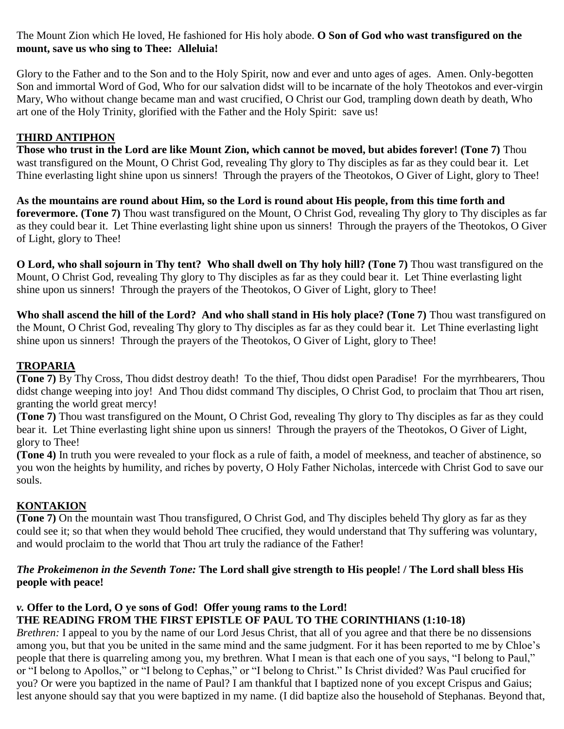The Mount Zion which He loved, He fashioned for His holy abode. **O Son of God who wast transfigured on the mount, save us who sing to Thee: Alleluia!**

Glory to the Father and to the Son and to the Holy Spirit, now and ever and unto ages of ages. Amen. Only-begotten Son and immortal Word of God, Who for our salvation didst will to be incarnate of the holy Theotokos and ever-virgin Mary, Who without change became man and wast crucified, O Christ our God, trampling down death by death, Who art one of the Holy Trinity, glorified with the Father and the Holy Spirit: save us!

# **THIRD ANTIPHON**

**Those who trust in the Lord are like Mount Zion, which cannot be moved, but abides forever! (Tone 7)** Thou wast transfigured on the Mount, O Christ God, revealing Thy glory to Thy disciples as far as they could bear it. Let Thine everlasting light shine upon us sinners! Through the prayers of the Theotokos, O Giver of Light, glory to Thee!

**As the mountains are round about Him, so the Lord is round about His people, from this time forth and forevermore. (Tone 7)** Thou wast transfigured on the Mount, O Christ God, revealing Thy glory to Thy disciples as far as they could bear it. Let Thine everlasting light shine upon us sinners! Through the prayers of the Theotokos, O Giver of Light, glory to Thee!

**O Lord, who shall sojourn in Thy tent? Who shall dwell on Thy holy hill? (Tone 7)** Thou wast transfigured on the Mount, O Christ God, revealing Thy glory to Thy disciples as far as they could bear it. Let Thine everlasting light shine upon us sinners! Through the prayers of the Theotokos, O Giver of Light, glory to Thee!

**Who shall ascend the hill of the Lord? And who shall stand in His holy place? (Tone 7)** Thou wast transfigured on the Mount, O Christ God, revealing Thy glory to Thy disciples as far as they could bear it. Let Thine everlasting light shine upon us sinners! Through the prayers of the Theotokos, O Giver of Light, glory to Thee!

#### **TROPARIA**

**(Tone 7)** By Thy Cross, Thou didst destroy death! To the thief, Thou didst open Paradise! For the myrrhbearers, Thou didst change weeping into joy! And Thou didst command Thy disciples, O Christ God, to proclaim that Thou art risen, granting the world great mercy!

**(Tone 7)** Thou wast transfigured on the Mount, O Christ God, revealing Thy glory to Thy disciples as far as they could bear it. Let Thine everlasting light shine upon us sinners! Through the prayers of the Theotokos, O Giver of Light, glory to Thee!

**(Tone 4)** In truth you were revealed to your flock as a rule of faith, a model of meekness, and teacher of abstinence, so you won the heights by humility, and riches by poverty, O Holy Father Nicholas, intercede with Christ God to save our souls.

# **KONTAKION**

**(Tone 7)** On the mountain wast Thou transfigured, O Christ God, and Thy disciples beheld Thy glory as far as they could see it; so that when they would behold Thee crucified, they would understand that Thy suffering was voluntary, and would proclaim to the world that Thou art truly the radiance of the Father!

#### *The Prokeimenon in the Seventh Tone:* **The Lord shall give strength to His people! / The Lord shall bless His people with peace!**

# *v.* **Offer to the Lord, O ye sons of God! Offer young rams to the Lord!**

# **THE READING FROM THE FIRST EPISTLE OF PAUL TO THE CORINTHIANS (1:10-18)**

*Brethren:* I appeal to you by the name of our Lord Jesus Christ, that all of you agree and that there be no dissensions among you, but that you be united in the same mind and the same judgment. For it has been reported to me by Chloe's people that there is quarreling among you, my brethren. What I mean is that each one of you says, "I belong to Paul," or "I belong to Apollos," or "I belong to Cephas," or "I belong to Christ." Is Christ divided? Was Paul crucified for you? Or were you baptized in the name of Paul? I am thankful that I baptized none of you except Crispus and Gaius; lest anyone should say that you were baptized in my name. (I did baptize also the household of Stephanas. Beyond that,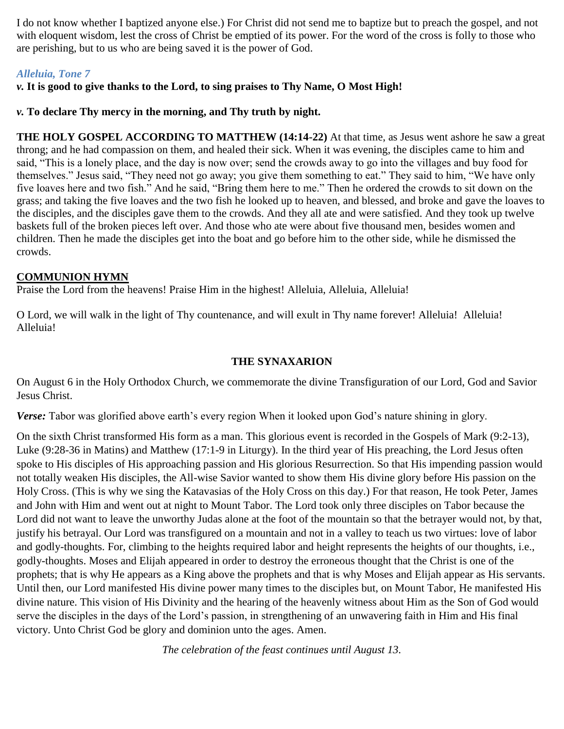I do not know whether I baptized anyone else.) For Christ did not send me to baptize but to preach the gospel, and not with eloquent wisdom, lest the cross of Christ be emptied of its power. For the word of the cross is folly to those who are perishing, but to us who are being saved it is the power of God.

## *Alleluia, Tone 7*

*v.* **It is good to give thanks to the Lord, to sing praises to Thy Name, O Most High!**

#### *v.* **To declare Thy mercy in the morning, and Thy truth by night.**

**THE HOLY GOSPEL ACCORDING TO MATTHEW (14:14-22)** At that time, as Jesus went ashore he saw a great throng; and he had compassion on them, and healed their sick. When it was evening, the disciples came to him and said, "This is a lonely place, and the day is now over; send the crowds away to go into the villages and buy food for themselves." Jesus said, "They need not go away; you give them something to eat." They said to him, "We have only five loaves here and two fish." And he said, "Bring them here to me." Then he ordered the crowds to sit down on the grass; and taking the five loaves and the two fish he looked up to heaven, and blessed, and broke and gave the loaves to the disciples, and the disciples gave them to the crowds. And they all ate and were satisfied. And they took up twelve baskets full of the broken pieces left over. And those who ate were about five thousand men, besides women and children. Then he made the disciples get into the boat and go before him to the other side, while he dismissed the crowds.

#### **COMMUNION HYMN**

Praise the Lord from the heavens! Praise Him in the highest! Alleluia, Alleluia, Alleluia!

O Lord, we will walk in the light of Thy countenance, and will exult in Thy name forever! Alleluia! Alleluia! Alleluia!

#### **THE SYNAXARION**

On August 6 in the Holy Orthodox Church, we commemorate the divine Transfiguration of our Lord, God and Savior Jesus Christ.

*Verse:* Tabor was glorified above earth's every region When it looked upon God's nature shining in glory.

On the sixth Christ transformed His form as a man. This glorious event is recorded in the Gospels of Mark (9:2-13), Luke (9:28-36 in Matins) and Matthew (17:1-9 in Liturgy). In the third year of His preaching, the Lord Jesus often spoke to His disciples of His approaching passion and His glorious Resurrection. So that His impending passion would not totally weaken His disciples, the All-wise Savior wanted to show them His divine glory before His passion on the Holy Cross. (This is why we sing the Katavasias of the Holy Cross on this day.) For that reason, He took Peter, James and John with Him and went out at night to Mount Tabor. The Lord took only three disciples on Tabor because the Lord did not want to leave the unworthy Judas alone at the foot of the mountain so that the betrayer would not, by that, justify his betrayal. Our Lord was transfigured on a mountain and not in a valley to teach us two virtues: love of labor and godly-thoughts. For, climbing to the heights required labor and height represents the heights of our thoughts, i.e., godly-thoughts. Moses and Elijah appeared in order to destroy the erroneous thought that the Christ is one of the prophets; that is why He appears as a King above the prophets and that is why Moses and Elijah appear as His servants. Until then, our Lord manifested His divine power many times to the disciples but, on Mount Tabor, He manifested His divine nature. This vision of His Divinity and the hearing of the heavenly witness about Him as the Son of God would serve the disciples in the days of the Lord's passion, in strengthening of an unwavering faith in Him and His final victory. Unto Christ God be glory and dominion unto the ages. Amen.

*The celebration of the feast continues until August 13.*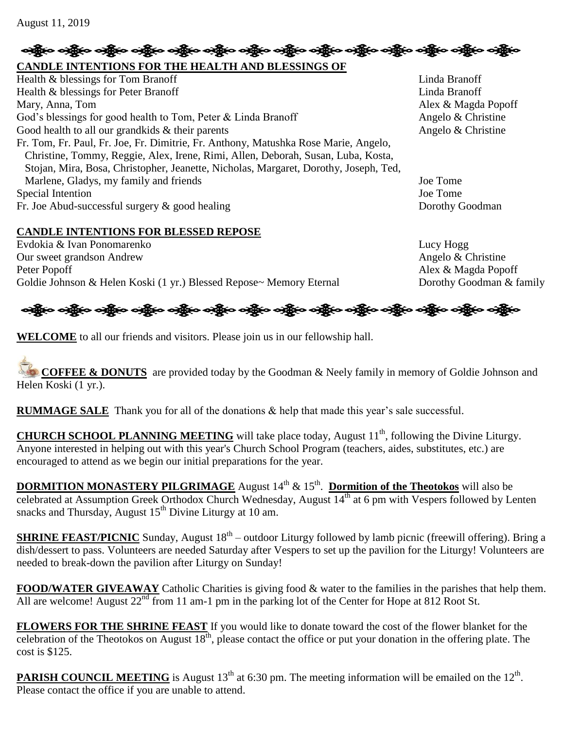# န္း သန္တိုင္း မန္မီလက္သို႔ သန္တြင္း သန္တိုင္း သန္သို႔ သန္သို႔ သန္သို႔ သန္သို႔ သန္သို႔ သန္သို႔ သန္သို႔ သန္သို႔ **CANDLE INTENTIONS FOR THE HEALTH AND BLESSINGS OF**

Health & blessings for Tom Branoff Linda Branoff Linda Branoff Health & blessings for Peter Branoff Linda Branoff Linda Branoff Mary, Anna, Tom **Alex & Magda Popoff** God's blessings for good health to Tom, Peter & Linda Branoff  $\Box$  Angelo & Christine Good health to all our grandkids & their parents Angelo & Christine Fr. Tom, Fr. Paul, Fr. Joe, Fr. Dimitrie, Fr. Anthony, Matushka Rose Marie, Angelo, Christine, Tommy, Reggie, Alex, Irene, Rimi, Allen, Deborah, Susan, Luba, Kosta, Stojan, Mira, Bosa, Christopher, Jeanette, Nicholas, Margaret, Dorothy, Joseph, Ted, Marlene, Gladys, my family and friends Joe Tome Special Intention Joe Tome Fr. Joe Abud-successful surgery & good healing Dorothy Goodman

## **CANDLE INTENTIONS FOR BLESSED REPOSE**

Evdokia & Ivan Ponomarenko Lucy Hogg Our sweet grandson Andrew Angelo & Christine Peter Popoff Alex & Magda Popoff Goldie Johnson & Helen Koski (1 yr.) Blessed Repose~ Memory Eternal Dorothy Goodman & family

ခရွိက ခရွိက ခရွိက ခရွိက အိုင်း အိုင်း ခရွိက ခရွိက ခရွိက ခရွိက ခရွိက ခရွိက ခရွိက ခရွိက ခရွိက ခရွိက

**WELCOME** to all our friends and visitors. Please join us in our fellowship hall.

**COFFEE & DONUTS** are provided today by the Goodman & Neely family in memory of Goldie Johnson and Helen Koski (1 yr.).

**RUMMAGE SALE** Thank you for all of the donations & help that made this year's sale successful.

**CHURCH SCHOOL PLANNING MEETING** will take place today, August 11<sup>th</sup>, following the Divine Liturgy. Anyone interested in helping out with this year's Church School Program (teachers, aides, substitutes, etc.) are encouraged to attend as we begin our initial preparations for the year.

**DORMITION MONASTERY PILGRIMAGE** August  $14<sup>th</sup>$  &  $15<sup>th</sup>$ . **Dormition of the Theotokos** will also be celebrated at Assumption Greek Orthodox Church Wednesday, August 14<sup>th</sup> at 6 pm with Vespers followed by Lenten snacks and Thursday, August  $15<sup>th</sup>$  Divine Liturgy at 10 am.

**SHRINE FEAST/PICNIC** Sunday, August 18<sup>th</sup> – outdoor Liturgy followed by lamb picnic (freewill offering). Bring a dish/dessert to pass. Volunteers are needed Saturday after Vespers to set up the pavilion for the Liturgy! Volunteers are needed to break-down the pavilion after Liturgy on Sunday!

**FOOD/WATER GIVEAWAY** Catholic Charities is giving food & water to the families in the parishes that help them. All are welcome! August 22<sup>nd</sup> from 11 am-1 pm in the parking lot of the Center for Hope at 812 Root St.

**FLOWERS FOR THE SHRINE FEAST** If you would like to donate toward the cost of the flower blanket for the celebration of the Theotokos on August  $18<sup>th</sup>$ , please contact the office or put your donation in the offering plate. The cost is \$125.

**PARISH COUNCIL MEETING** is August  $13<sup>th</sup>$  at 6:30 pm. The meeting information will be emailed on the  $12<sup>th</sup>$ . Please contact the office if you are unable to attend.